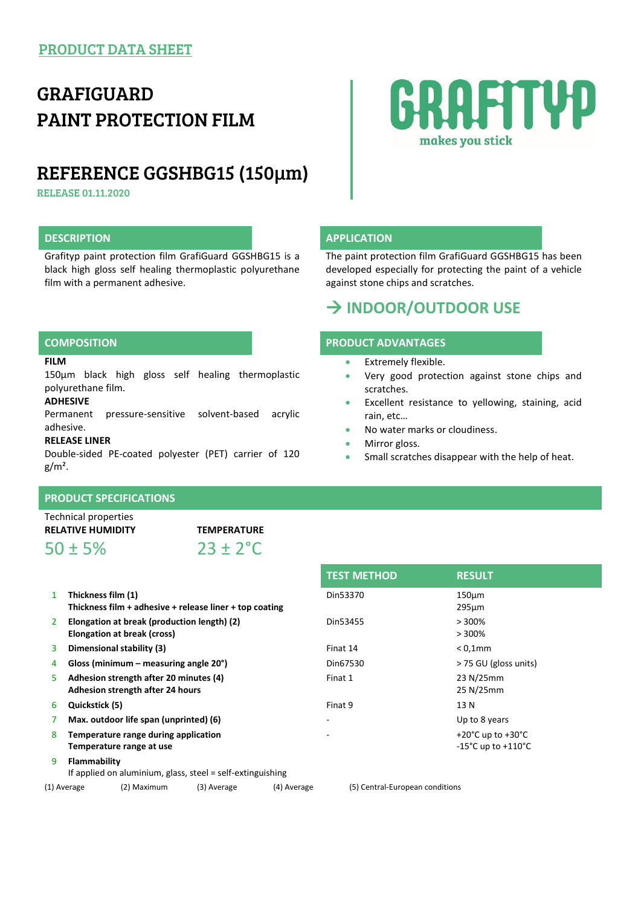# GRAFIGUARD PAINT PROTECTION FILM

## REFERENCE GGSHBG15 (150µm)

RELEASE 01.11.2020

### **DESCRIPTION APPLICATION**

Grafityp paint protection film GrafiGuard GGSHBG15 is a black high gloss self healing thermoplastic polyurethane film with a permanent adhesive.

# RAFITYP makes you stick

The paint protection film GrafiGuard GGSHBG15 has been developed especially for protecting the paint of a vehicle against stone chips and scratches.

### **INDOOR/OUTDOOR USE**

### **COMPOSITION PRODUCT ADVANTAGES**

- Extremely flexible.
- Very good protection against stone chips and scratches.
- Excellent resistance to yellowing, staining, acid rain, etc…
- No water marks or cloudiness.
- Mirror gloss.
- Small scratches disappear with the help of heat.

150µm black high gloss self healing thermoplastic polyurethane film.

### **ADHESIVE**

**FILM**

Permanent pressure-sensitive solvent-based acrylic adhesive.

#### **RELEASE LINER**

Double-sided PE-coated polyester (PET) carrier of 120  $g/m<sup>2</sup>$ .

|  |  |  |  | <b>PRODUCT SPECIFICATIONS</b> |  |
|--|--|--|--|-------------------------------|--|
|  |  |  |  |                               |  |

Technical properties

 $50 \pm 5\%$  23 + 2<sup>°</sup>C

**RELATIVE HUMIDITY TEMPERATURE**

- 1 **Thickness film (1) Thickness film + adhesive + release liner + top coating**
- 2 **Elongation at break (production length) (2) Elongation at break (cross)**
- 
- 
- 5 **Adhesion strength after 20 minutes (4) Adhesion strength after 24 hours**
- 
- 
- 8 **Temperature range during application Temperature range at use**
- 9 **Flammability**
- If applied on aluminium, glass, steel = self-extinguishing

(1) Average (2) Maximum (3) Average (4) Average (5) Central-European conditions

**TEST METHOD RESULT** Din53370 150µm 295µm  $Din53455$   $>300\%$ > 300% 3 **Dimensional stability (3)** Finat 14 < 0,1mm 4 **Gloss (minimum – measuring angle 20°)** Din67530 > 75 GU (gloss units) Finat 1 23 N/25mm 25 N/25mm 6 **Quickstick (5)** Finat 9 13 N 7 **Max. outdoor life span (unprinted) (6)** - Up to 8 years  $+20^{\circ}$ C up to  $+30^{\circ}$ C -15°C up to +110°C